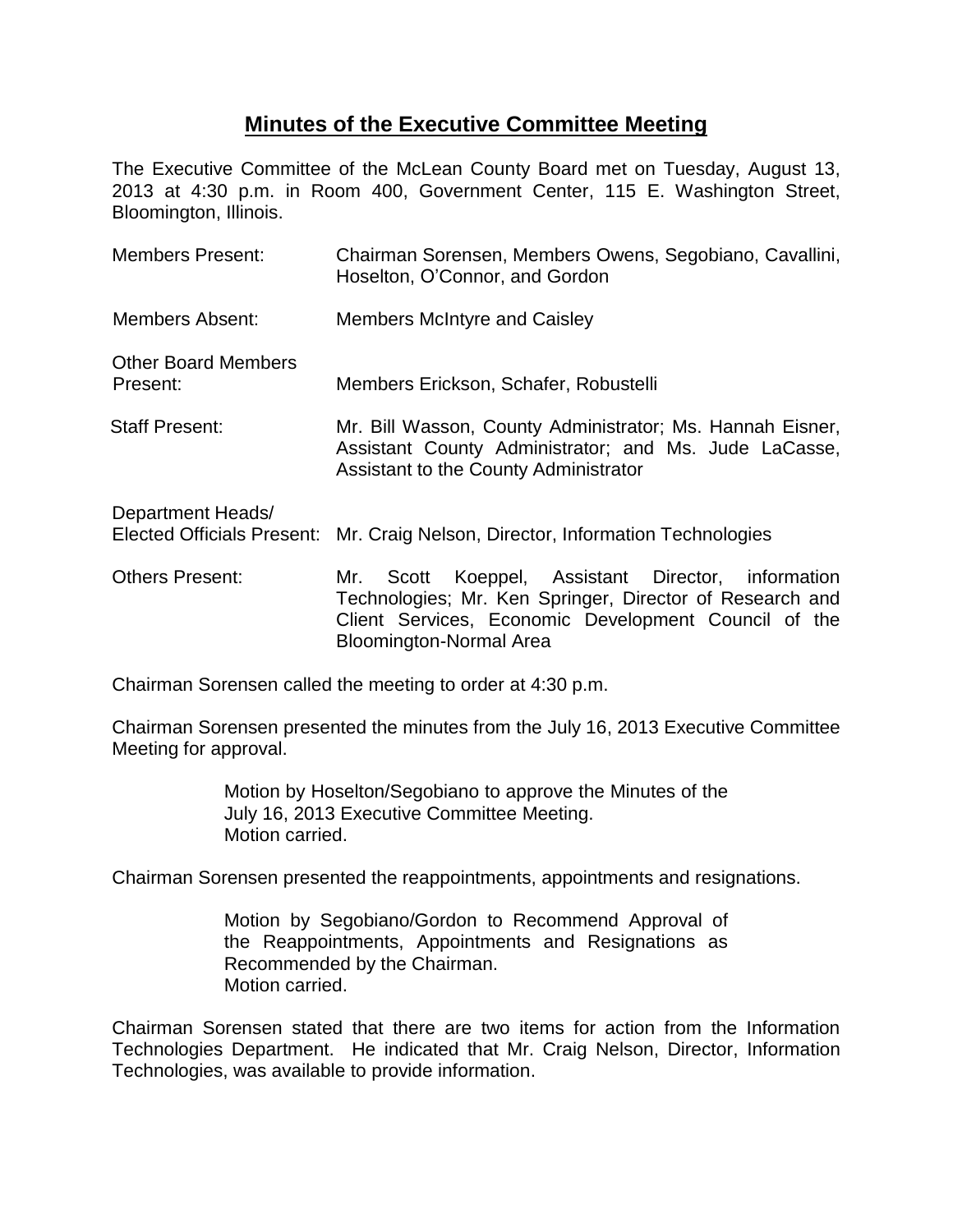## **Minutes of the Executive Committee Meeting**

The Executive Committee of the McLean County Board met on Tuesday, August 13, 2013 at 4:30 p.m. in Room 400, Government Center, 115 E. Washington Street, Bloomington, Illinois.

| <b>Members Present:</b>                | Chairman Sorensen, Members Owens, Segobiano, Cavallini,<br>Hoselton, O'Connor, and Gordon                                                                                                                      |
|----------------------------------------|----------------------------------------------------------------------------------------------------------------------------------------------------------------------------------------------------------------|
| Members Absent:                        | <b>Members McIntyre and Caisley</b>                                                                                                                                                                            |
| <b>Other Board Members</b><br>Present: | Members Erickson, Schafer, Robustelli                                                                                                                                                                          |
| <b>Staff Present:</b>                  | Mr. Bill Wasson, County Administrator; Ms. Hannah Eisner,<br>Assistant County Administrator; and Ms. Jude LaCasse,<br>Assistant to the County Administrator                                                    |
| Department Heads/                      | Elected Officials Present: Mr. Craig Nelson, Director, Information Technologies                                                                                                                                |
| <b>Others Present:</b>                 | Koeppel, Assistant Director, information<br>Scott<br>Mr.<br>Technologies; Mr. Ken Springer, Director of Research and<br>Client Services, Economic Development Council of the<br><b>Bloomington-Normal Area</b> |

Chairman Sorensen called the meeting to order at 4:30 p.m.

Chairman Sorensen presented the minutes from the July 16, 2013 Executive Committee Meeting for approval.

> Motion by Hoselton/Segobiano to approve the Minutes of the July 16, 2013 Executive Committee Meeting. Motion carried.

Chairman Sorensen presented the reappointments, appointments and resignations.

Motion by Segobiano/Gordon to Recommend Approval of the Reappointments, Appointments and Resignations as Recommended by the Chairman. Motion carried.

Chairman Sorensen stated that there are two items for action from the Information Technologies Department. He indicated that Mr. Craig Nelson, Director, Information Technologies, was available to provide information.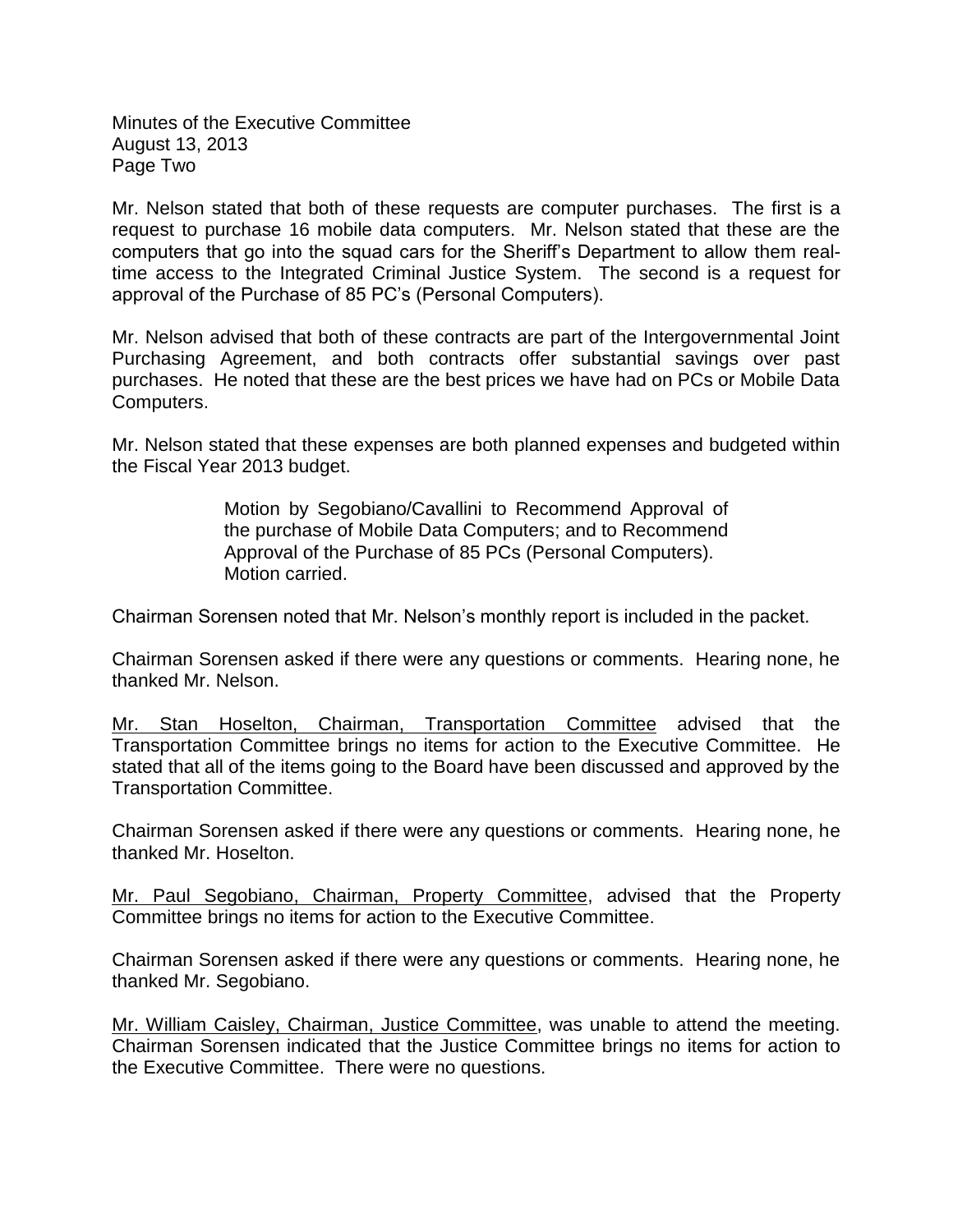Minutes of the Executive Committee August 13, 2013 Page Two

Mr. Nelson stated that both of these requests are computer purchases. The first is a request to purchase 16 mobile data computers. Mr. Nelson stated that these are the computers that go into the squad cars for the Sheriff's Department to allow them realtime access to the Integrated Criminal Justice System. The second is a request for approval of the Purchase of 85 PC's (Personal Computers).

Mr. Nelson advised that both of these contracts are part of the Intergovernmental Joint Purchasing Agreement, and both contracts offer substantial savings over past purchases. He noted that these are the best prices we have had on PCs or Mobile Data Computers.

Mr. Nelson stated that these expenses are both planned expenses and budgeted within the Fiscal Year 2013 budget.

> Motion by Segobiano/Cavallini to Recommend Approval of the purchase of Mobile Data Computers; and to Recommend Approval of the Purchase of 85 PCs (Personal Computers). Motion carried.

Chairman Sorensen noted that Mr. Nelson's monthly report is included in the packet.

Chairman Sorensen asked if there were any questions or comments. Hearing none, he thanked Mr. Nelson.

Mr. Stan Hoselton, Chairman, Transportation Committee advised that the Transportation Committee brings no items for action to the Executive Committee. He stated that all of the items going to the Board have been discussed and approved by the Transportation Committee.

Chairman Sorensen asked if there were any questions or comments. Hearing none, he thanked Mr. Hoselton.

Mr. Paul Segobiano, Chairman, Property Committee, advised that the Property Committee brings no items for action to the Executive Committee.

Chairman Sorensen asked if there were any questions or comments. Hearing none, he thanked Mr. Segobiano.

Mr. William Caisley, Chairman, Justice Committee, was unable to attend the meeting. Chairman Sorensen indicated that the Justice Committee brings no items for action to the Executive Committee. There were no questions.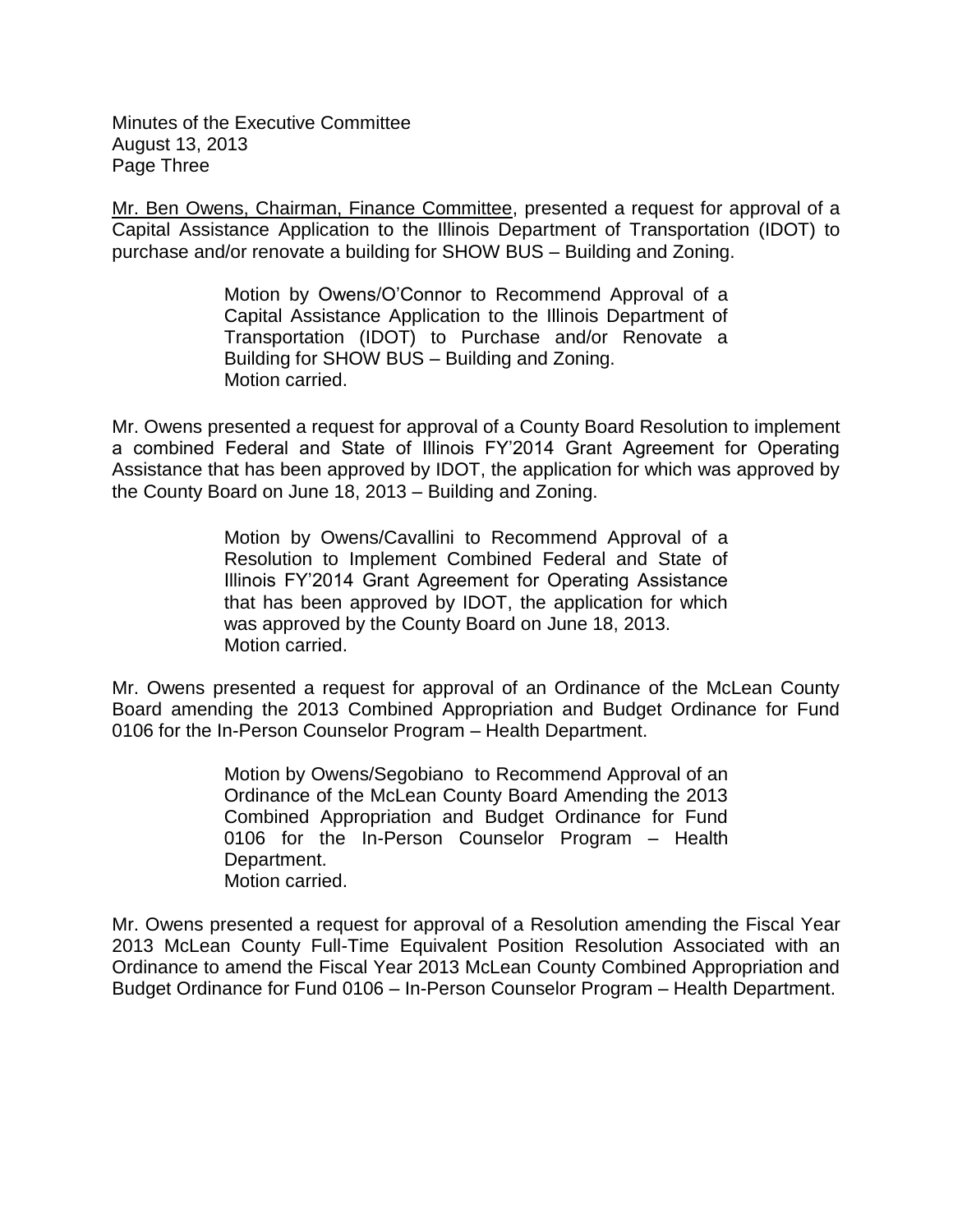Minutes of the Executive Committee August 13, 2013 Page Three

Mr. Ben Owens, Chairman, Finance Committee, presented a request for approval of a Capital Assistance Application to the Illinois Department of Transportation (IDOT) to purchase and/or renovate a building for SHOW BUS – Building and Zoning.

> Motion by Owens/O'Connor to Recommend Approval of a Capital Assistance Application to the Illinois Department of Transportation (IDOT) to Purchase and/or Renovate a Building for SHOW BUS – Building and Zoning. Motion carried.

Mr. Owens presented a request for approval of a County Board Resolution to implement a combined Federal and State of Illinois FY'2014 Grant Agreement for Operating Assistance that has been approved by IDOT, the application for which was approved by the County Board on June 18, 2013 – Building and Zoning.

> Motion by Owens/Cavallini to Recommend Approval of a Resolution to Implement Combined Federal and State of Illinois FY'2014 Grant Agreement for Operating Assistance that has been approved by IDOT, the application for which was approved by the County Board on June 18, 2013. Motion carried.

Mr. Owens presented a request for approval of an Ordinance of the McLean County Board amending the 2013 Combined Appropriation and Budget Ordinance for Fund 0106 for the In-Person Counselor Program – Health Department.

> Motion by Owens/Segobiano to Recommend Approval of an Ordinance of the McLean County Board Amending the 2013 Combined Appropriation and Budget Ordinance for Fund 0106 for the In-Person Counselor Program – Health Department. Motion carried.

Mr. Owens presented a request for approval of a Resolution amending the Fiscal Year 2013 McLean County Full-Time Equivalent Position Resolution Associated with an Ordinance to amend the Fiscal Year 2013 McLean County Combined Appropriation and Budget Ordinance for Fund 0106 – In-Person Counselor Program – Health Department.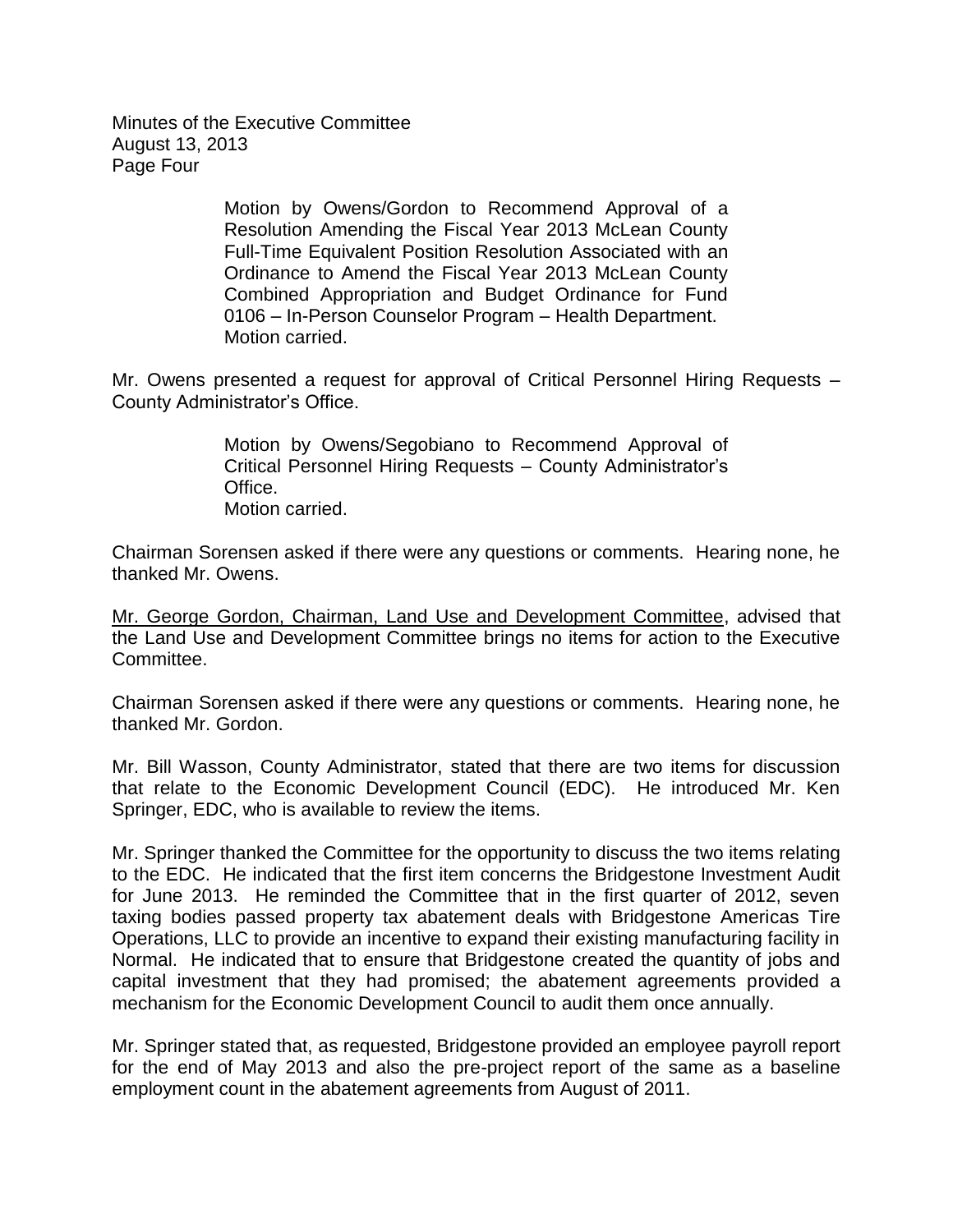Minutes of the Executive Committee August 13, 2013 Page Four

> Motion by Owens/Gordon to Recommend Approval of a Resolution Amending the Fiscal Year 2013 McLean County Full-Time Equivalent Position Resolution Associated with an Ordinance to Amend the Fiscal Year 2013 McLean County Combined Appropriation and Budget Ordinance for Fund 0106 – In-Person Counselor Program – Health Department. Motion carried.

Mr. Owens presented a request for approval of Critical Personnel Hiring Requests – County Administrator's Office.

> Motion by Owens/Segobiano to Recommend Approval of Critical Personnel Hiring Requests – County Administrator's Office. Motion carried.

Chairman Sorensen asked if there were any questions or comments. Hearing none, he thanked Mr. Owens.

Mr. George Gordon, Chairman, Land Use and Development Committee, advised that the Land Use and Development Committee brings no items for action to the Executive Committee.

Chairman Sorensen asked if there were any questions or comments. Hearing none, he thanked Mr. Gordon.

Mr. Bill Wasson, County Administrator, stated that there are two items for discussion that relate to the Economic Development Council (EDC). He introduced Mr. Ken Springer, EDC, who is available to review the items.

Mr. Springer thanked the Committee for the opportunity to discuss the two items relating to the EDC. He indicated that the first item concerns the Bridgestone Investment Audit for June 2013. He reminded the Committee that in the first quarter of 2012, seven taxing bodies passed property tax abatement deals with Bridgestone Americas Tire Operations, LLC to provide an incentive to expand their existing manufacturing facility in Normal. He indicated that to ensure that Bridgestone created the quantity of jobs and capital investment that they had promised; the abatement agreements provided a mechanism for the Economic Development Council to audit them once annually.

Mr. Springer stated that, as requested, Bridgestone provided an employee payroll report for the end of May 2013 and also the pre-project report of the same as a baseline employment count in the abatement agreements from August of 2011.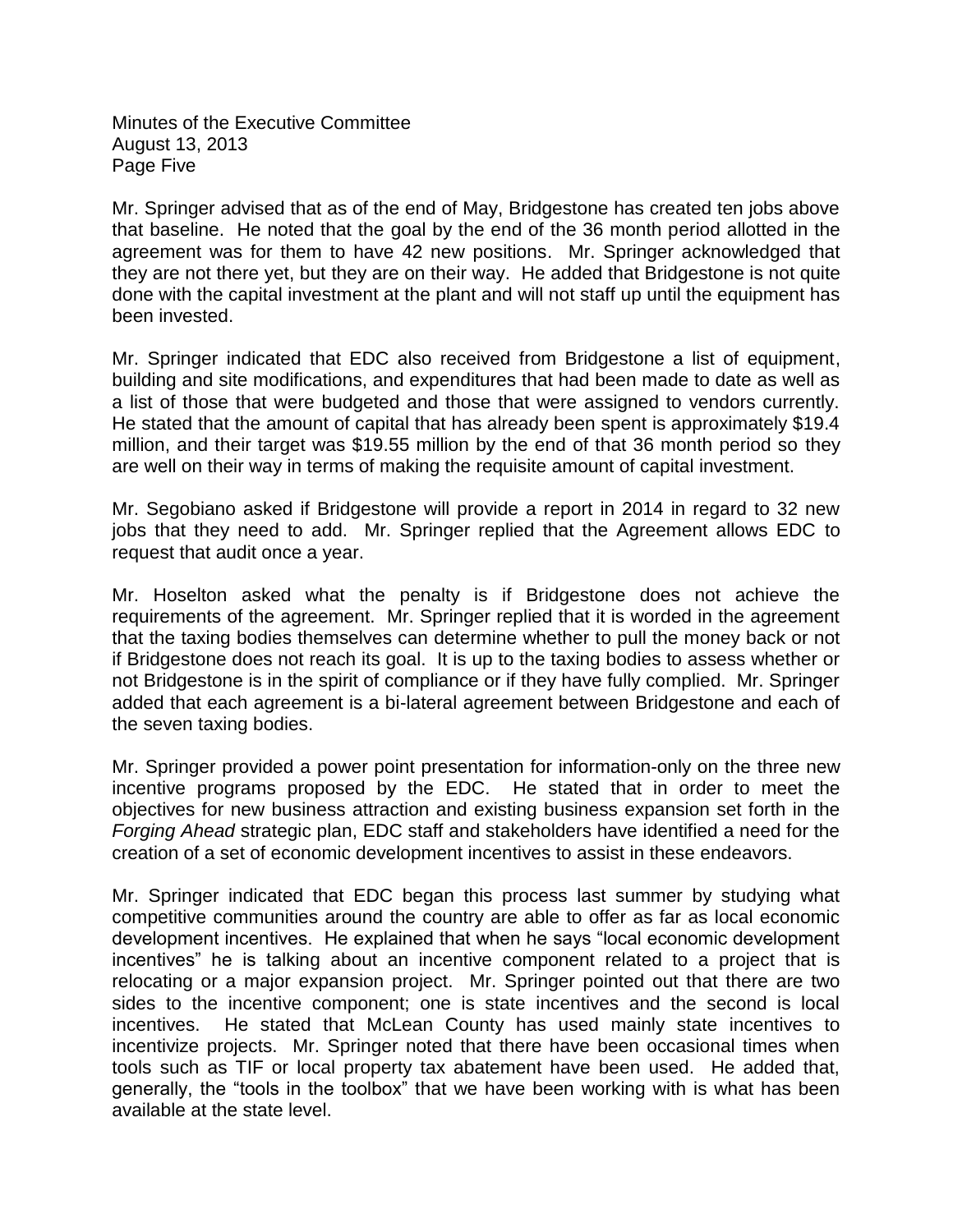Minutes of the Executive Committee August 13, 2013 Page Five

Mr. Springer advised that as of the end of May, Bridgestone has created ten jobs above that baseline. He noted that the goal by the end of the 36 month period allotted in the agreement was for them to have 42 new positions. Mr. Springer acknowledged that they are not there yet, but they are on their way. He added that Bridgestone is not quite done with the capital investment at the plant and will not staff up until the equipment has been invested.

Mr. Springer indicated that EDC also received from Bridgestone a list of equipment, building and site modifications, and expenditures that had been made to date as well as a list of those that were budgeted and those that were assigned to vendors currently. He stated that the amount of capital that has already been spent is approximately \$19.4 million, and their target was \$19.55 million by the end of that 36 month period so they are well on their way in terms of making the requisite amount of capital investment.

Mr. Segobiano asked if Bridgestone will provide a report in 2014 in regard to 32 new jobs that they need to add. Mr. Springer replied that the Agreement allows EDC to request that audit once a year.

Mr. Hoselton asked what the penalty is if Bridgestone does not achieve the requirements of the agreement. Mr. Springer replied that it is worded in the agreement that the taxing bodies themselves can determine whether to pull the money back or not if Bridgestone does not reach its goal. It is up to the taxing bodies to assess whether or not Bridgestone is in the spirit of compliance or if they have fully complied. Mr. Springer added that each agreement is a bi-lateral agreement between Bridgestone and each of the seven taxing bodies.

Mr. Springer provided a power point presentation for information-only on the three new incentive programs proposed by the EDC. He stated that in order to meet the objectives for new business attraction and existing business expansion set forth in the *Forging Ahead* strategic plan, EDC staff and stakeholders have identified a need for the creation of a set of economic development incentives to assist in these endeavors.

Mr. Springer indicated that EDC began this process last summer by studying what competitive communities around the country are able to offer as far as local economic development incentives. He explained that when he says "local economic development incentives" he is talking about an incentive component related to a project that is relocating or a major expansion project. Mr. Springer pointed out that there are two sides to the incentive component; one is state incentives and the second is local incentives. He stated that McLean County has used mainly state incentives to incentivize projects. Mr. Springer noted that there have been occasional times when tools such as TIF or local property tax abatement have been used. He added that, generally, the "tools in the toolbox" that we have been working with is what has been available at the state level.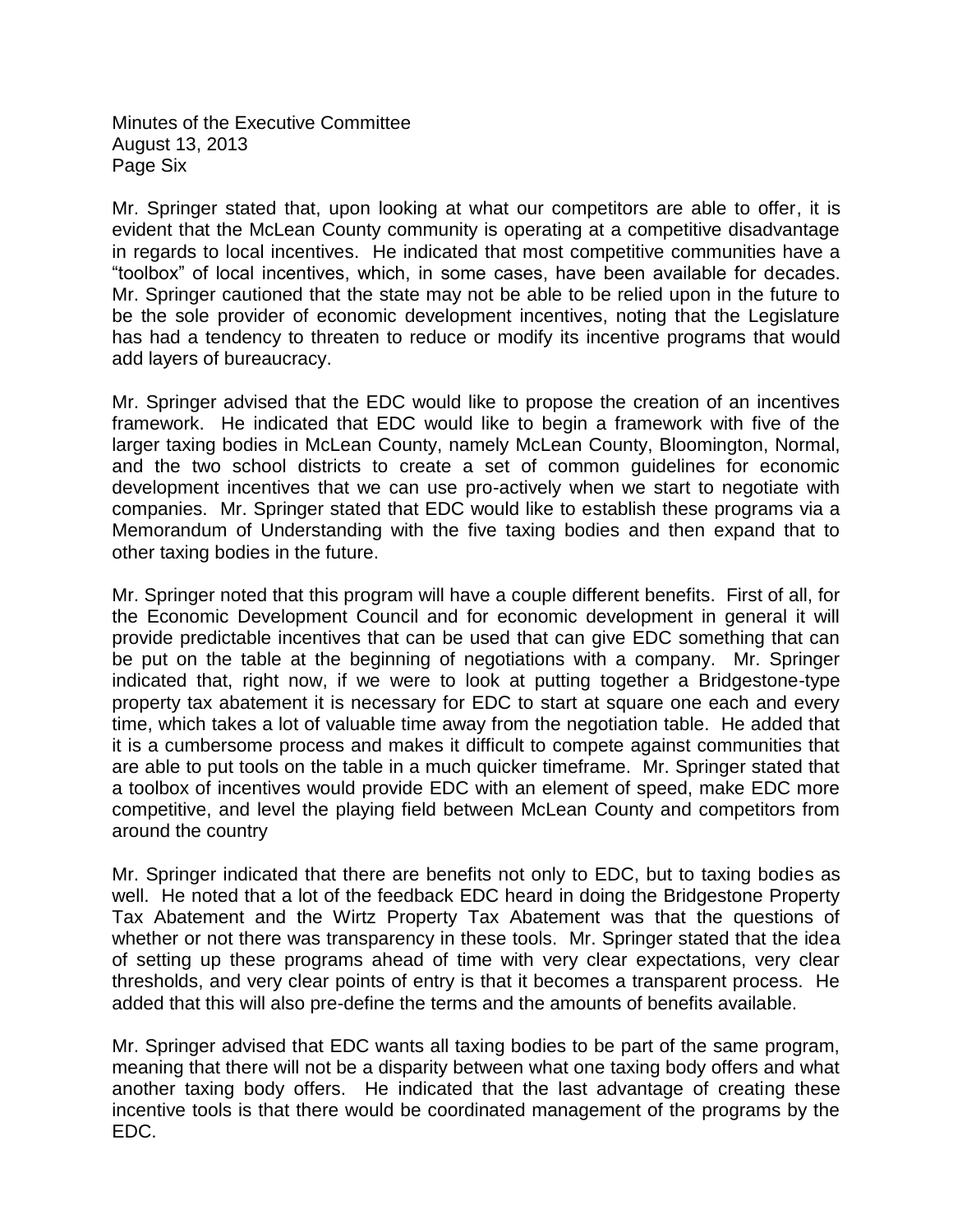Minutes of the Executive Committee August 13, 2013 Page Six

Mr. Springer stated that, upon looking at what our competitors are able to offer, it is evident that the McLean County community is operating at a competitive disadvantage in regards to local incentives. He indicated that most competitive communities have a "toolbox" of local incentives, which, in some cases, have been available for decades. Mr. Springer cautioned that the state may not be able to be relied upon in the future to be the sole provider of economic development incentives, noting that the Legislature has had a tendency to threaten to reduce or modify its incentive programs that would add layers of bureaucracy.

Mr. Springer advised that the EDC would like to propose the creation of an incentives framework. He indicated that EDC would like to begin a framework with five of the larger taxing bodies in McLean County, namely McLean County, Bloomington, Normal, and the two school districts to create a set of common guidelines for economic development incentives that we can use pro-actively when we start to negotiate with companies. Mr. Springer stated that EDC would like to establish these programs via a Memorandum of Understanding with the five taxing bodies and then expand that to other taxing bodies in the future.

Mr. Springer noted that this program will have a couple different benefits. First of all, for the Economic Development Council and for economic development in general it will provide predictable incentives that can be used that can give EDC something that can be put on the table at the beginning of negotiations with a company. Mr. Springer indicated that, right now, if we were to look at putting together a Bridgestone-type property tax abatement it is necessary for EDC to start at square one each and every time, which takes a lot of valuable time away from the negotiation table. He added that it is a cumbersome process and makes it difficult to compete against communities that are able to put tools on the table in a much quicker timeframe. Mr. Springer stated that a toolbox of incentives would provide EDC with an element of speed, make EDC more competitive, and level the playing field between McLean County and competitors from around the country

Mr. Springer indicated that there are benefits not only to EDC, but to taxing bodies as well. He noted that a lot of the feedback EDC heard in doing the Bridgestone Property Tax Abatement and the Wirtz Property Tax Abatement was that the questions of whether or not there was transparency in these tools. Mr. Springer stated that the idea of setting up these programs ahead of time with very clear expectations, very clear thresholds, and very clear points of entry is that it becomes a transparent process. He added that this will also pre-define the terms and the amounts of benefits available.

Mr. Springer advised that EDC wants all taxing bodies to be part of the same program, meaning that there will not be a disparity between what one taxing body offers and what another taxing body offers. He indicated that the last advantage of creating these incentive tools is that there would be coordinated management of the programs by the EDC.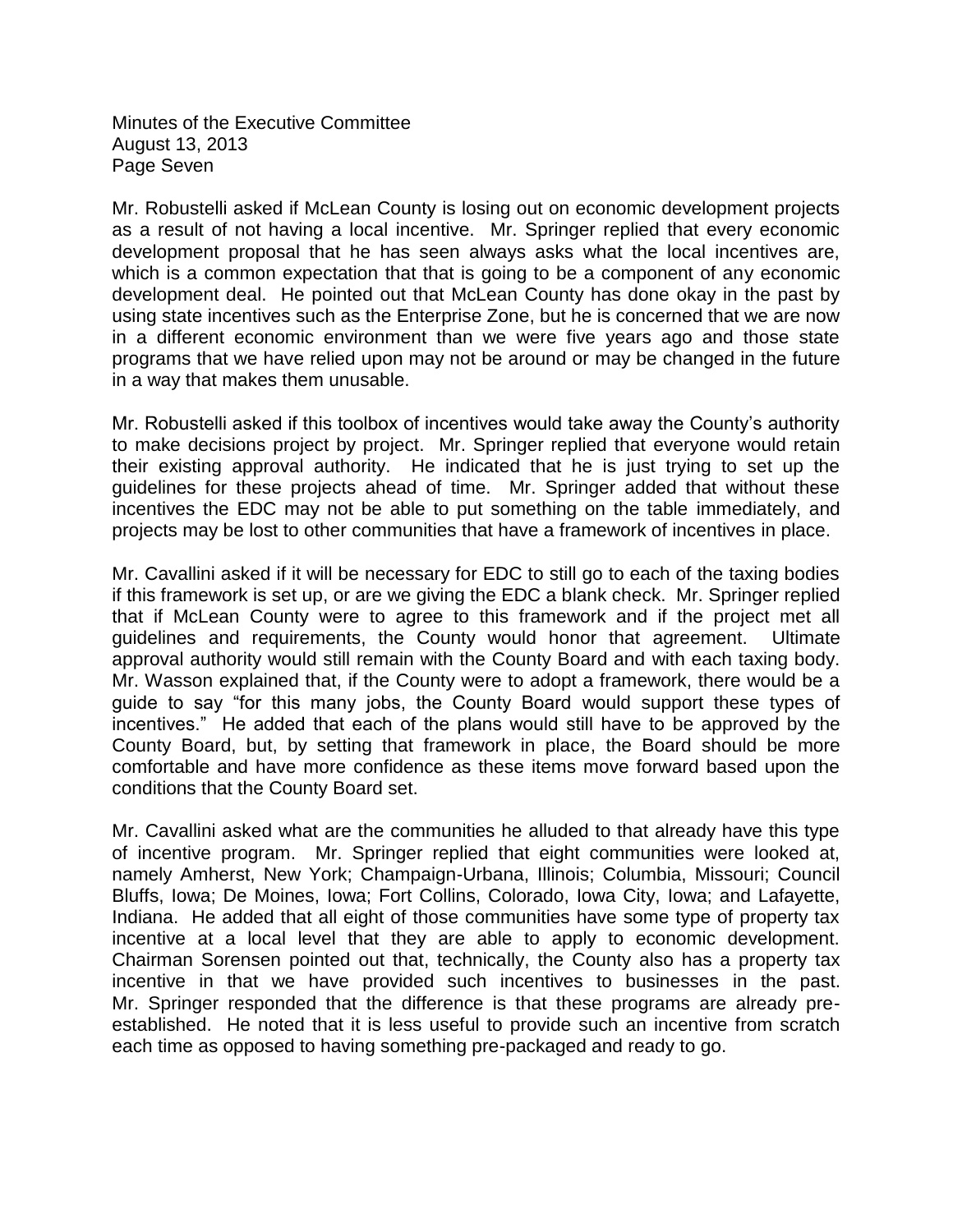Minutes of the Executive Committee August 13, 2013 Page Seven

Mr. Robustelli asked if McLean County is losing out on economic development projects as a result of not having a local incentive. Mr. Springer replied that every economic development proposal that he has seen always asks what the local incentives are, which is a common expectation that that is going to be a component of any economic development deal. He pointed out that McLean County has done okay in the past by using state incentives such as the Enterprise Zone, but he is concerned that we are now in a different economic environment than we were five years ago and those state programs that we have relied upon may not be around or may be changed in the future in a way that makes them unusable.

Mr. Robustelli asked if this toolbox of incentives would take away the County's authority to make decisions project by project. Mr. Springer replied that everyone would retain their existing approval authority. He indicated that he is just trying to set up the guidelines for these projects ahead of time. Mr. Springer added that without these incentives the EDC may not be able to put something on the table immediately, and projects may be lost to other communities that have a framework of incentives in place.

Mr. Cavallini asked if it will be necessary for EDC to still go to each of the taxing bodies if this framework is set up, or are we giving the EDC a blank check. Mr. Springer replied that if McLean County were to agree to this framework and if the project met all guidelines and requirements, the County would honor that agreement. Ultimate approval authority would still remain with the County Board and with each taxing body. Mr. Wasson explained that, if the County were to adopt a framework, there would be a guide to say "for this many jobs, the County Board would support these types of incentives." He added that each of the plans would still have to be approved by the County Board, but, by setting that framework in place, the Board should be more comfortable and have more confidence as these items move forward based upon the conditions that the County Board set.

Mr. Cavallini asked what are the communities he alluded to that already have this type of incentive program. Mr. Springer replied that eight communities were looked at, namely Amherst, New York; Champaign-Urbana, Illinois; Columbia, Missouri; Council Bluffs, Iowa; De Moines, Iowa; Fort Collins, Colorado, Iowa City, Iowa; and Lafayette, Indiana. He added that all eight of those communities have some type of property tax incentive at a local level that they are able to apply to economic development. Chairman Sorensen pointed out that, technically, the County also has a property tax incentive in that we have provided such incentives to businesses in the past. Mr. Springer responded that the difference is that these programs are already preestablished. He noted that it is less useful to provide such an incentive from scratch each time as opposed to having something pre-packaged and ready to go.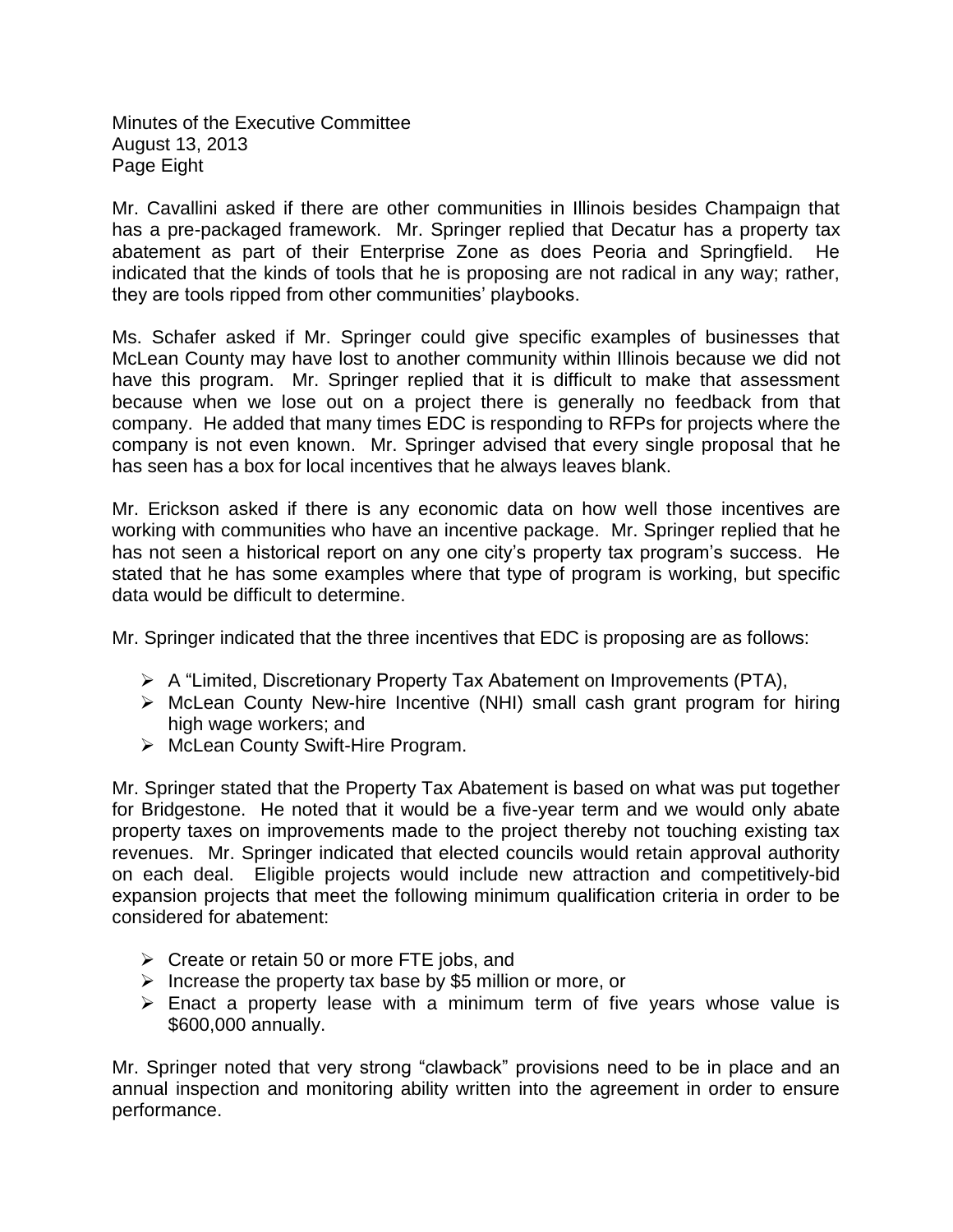Minutes of the Executive Committee August 13, 2013 Page Eight

Mr. Cavallini asked if there are other communities in Illinois besides Champaign that has a pre-packaged framework. Mr. Springer replied that Decatur has a property tax abatement as part of their Enterprise Zone as does Peoria and Springfield. He indicated that the kinds of tools that he is proposing are not radical in any way; rather, they are tools ripped from other communities' playbooks.

Ms. Schafer asked if Mr. Springer could give specific examples of businesses that McLean County may have lost to another community within Illinois because we did not have this program. Mr. Springer replied that it is difficult to make that assessment because when we lose out on a project there is generally no feedback from that company. He added that many times EDC is responding to RFPs for projects where the company is not even known. Mr. Springer advised that every single proposal that he has seen has a box for local incentives that he always leaves blank.

Mr. Erickson asked if there is any economic data on how well those incentives are working with communities who have an incentive package. Mr. Springer replied that he has not seen a historical report on any one city's property tax program's success. He stated that he has some examples where that type of program is working, but specific data would be difficult to determine.

Mr. Springer indicated that the three incentives that EDC is proposing are as follows:

- $\triangleright$  A "Limited, Discretionary Property Tax Abatement on Improvements (PTA),
- McLean County New-hire Incentive (NHI) small cash grant program for hiring high wage workers; and
- ▶ McLean County Swift-Hire Program.

Mr. Springer stated that the Property Tax Abatement is based on what was put together for Bridgestone. He noted that it would be a five-year term and we would only abate property taxes on improvements made to the project thereby not touching existing tax revenues. Mr. Springer indicated that elected councils would retain approval authority on each deal. Eligible projects would include new attraction and competitively-bid expansion projects that meet the following minimum qualification criteria in order to be considered for abatement:

- $\triangleright$  Create or retain 50 or more FTE jobs, and
- $\triangleright$  Increase the property tax base by \$5 million or more, or
- $\triangleright$  Enact a property lease with a minimum term of five years whose value is \$600,000 annually.

Mr. Springer noted that very strong "clawback" provisions need to be in place and an annual inspection and monitoring ability written into the agreement in order to ensure performance.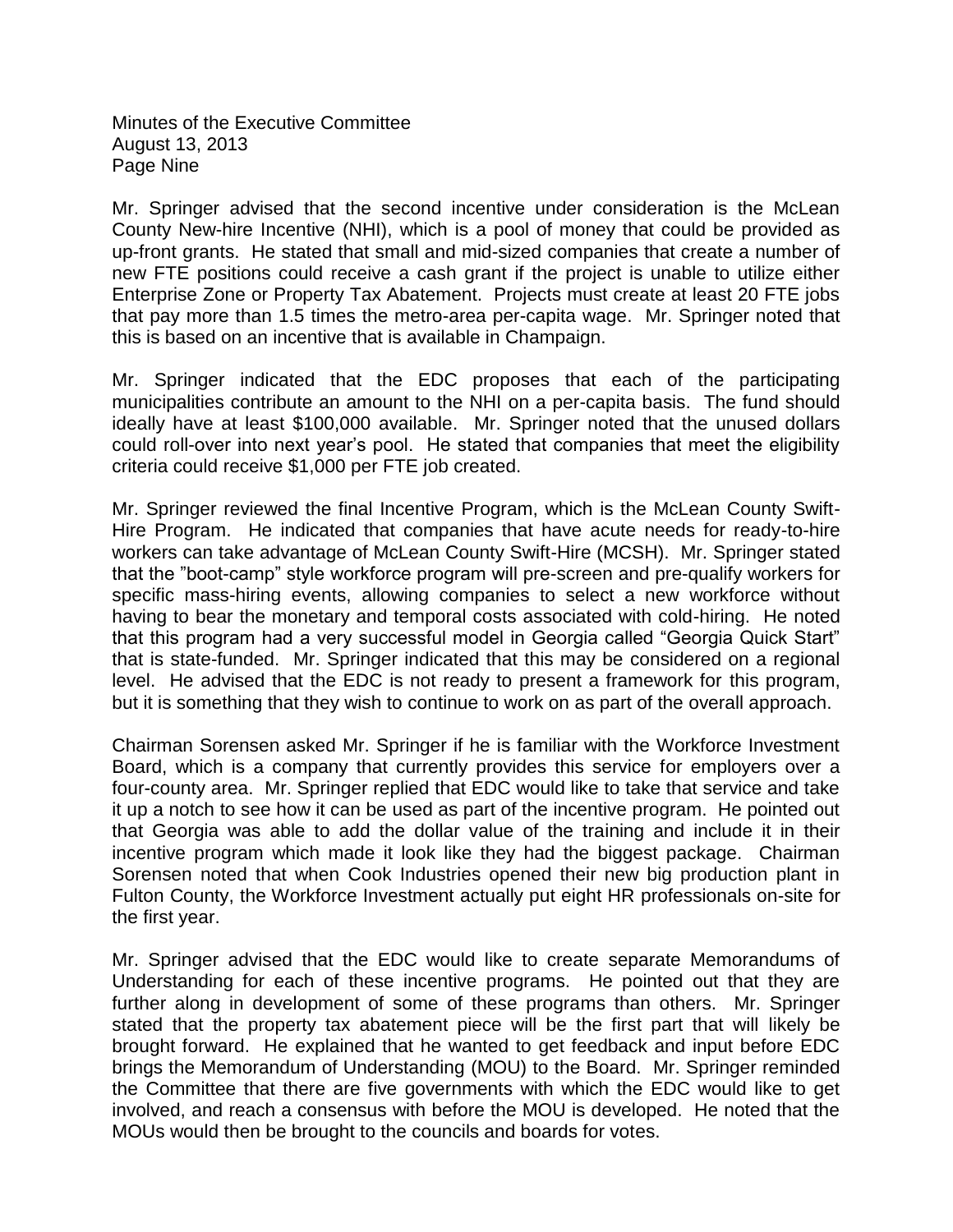Minutes of the Executive Committee August 13, 2013 Page Nine

Mr. Springer advised that the second incentive under consideration is the McLean County New-hire Incentive (NHI), which is a pool of money that could be provided as up-front grants. He stated that small and mid-sized companies that create a number of new FTE positions could receive a cash grant if the project is unable to utilize either Enterprise Zone or Property Tax Abatement. Projects must create at least 20 FTE jobs that pay more than 1.5 times the metro-area per-capita wage. Mr. Springer noted that this is based on an incentive that is available in Champaign.

Mr. Springer indicated that the EDC proposes that each of the participating municipalities contribute an amount to the NHI on a per-capita basis. The fund should ideally have at least \$100,000 available. Mr. Springer noted that the unused dollars could roll-over into next year's pool. He stated that companies that meet the eligibility criteria could receive \$1,000 per FTE job created.

Mr. Springer reviewed the final Incentive Program, which is the McLean County Swift-Hire Program. He indicated that companies that have acute needs for ready-to-hire workers can take advantage of McLean County Swift-Hire (MCSH). Mr. Springer stated that the "boot-camp" style workforce program will pre-screen and pre-qualify workers for specific mass-hiring events, allowing companies to select a new workforce without having to bear the monetary and temporal costs associated with cold-hiring. He noted that this program had a very successful model in Georgia called "Georgia Quick Start" that is state-funded. Mr. Springer indicated that this may be considered on a regional level. He advised that the EDC is not ready to present a framework for this program, but it is something that they wish to continue to work on as part of the overall approach.

Chairman Sorensen asked Mr. Springer if he is familiar with the Workforce Investment Board, which is a company that currently provides this service for employers over a four-county area. Mr. Springer replied that EDC would like to take that service and take it up a notch to see how it can be used as part of the incentive program. He pointed out that Georgia was able to add the dollar value of the training and include it in their incentive program which made it look like they had the biggest package. Chairman Sorensen noted that when Cook Industries opened their new big production plant in Fulton County, the Workforce Investment actually put eight HR professionals on-site for the first year.

Mr. Springer advised that the EDC would like to create separate Memorandums of Understanding for each of these incentive programs. He pointed out that they are further along in development of some of these programs than others. Mr. Springer stated that the property tax abatement piece will be the first part that will likely be brought forward. He explained that he wanted to get feedback and input before EDC brings the Memorandum of Understanding (MOU) to the Board. Mr. Springer reminded the Committee that there are five governments with which the EDC would like to get involved, and reach a consensus with before the MOU is developed. He noted that the MOUs would then be brought to the councils and boards for votes.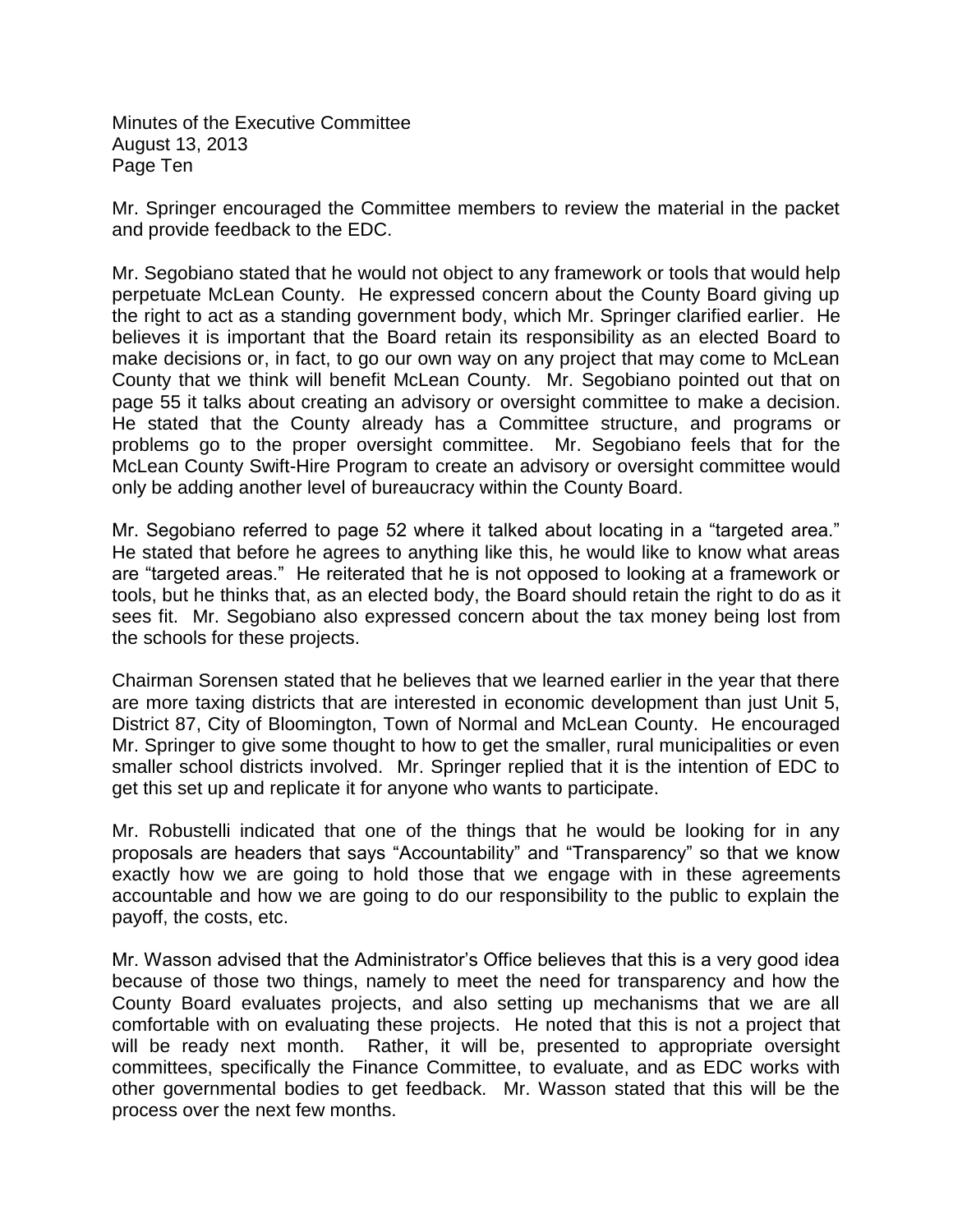Minutes of the Executive Committee August 13, 2013 Page Ten

Mr. Springer encouraged the Committee members to review the material in the packet and provide feedback to the EDC.

Mr. Segobiano stated that he would not object to any framework or tools that would help perpetuate McLean County. He expressed concern about the County Board giving up the right to act as a standing government body, which Mr. Springer clarified earlier. He believes it is important that the Board retain its responsibility as an elected Board to make decisions or, in fact, to go our own way on any project that may come to McLean County that we think will benefit McLean County. Mr. Segobiano pointed out that on page 55 it talks about creating an advisory or oversight committee to make a decision. He stated that the County already has a Committee structure, and programs or problems go to the proper oversight committee. Mr. Segobiano feels that for the McLean County Swift-Hire Program to create an advisory or oversight committee would only be adding another level of bureaucracy within the County Board.

Mr. Segobiano referred to page 52 where it talked about locating in a "targeted area." He stated that before he agrees to anything like this, he would like to know what areas are "targeted areas." He reiterated that he is not opposed to looking at a framework or tools, but he thinks that, as an elected body, the Board should retain the right to do as it sees fit. Mr. Segobiano also expressed concern about the tax money being lost from the schools for these projects.

Chairman Sorensen stated that he believes that we learned earlier in the year that there are more taxing districts that are interested in economic development than just Unit 5, District 87, City of Bloomington, Town of Normal and McLean County. He encouraged Mr. Springer to give some thought to how to get the smaller, rural municipalities or even smaller school districts involved. Mr. Springer replied that it is the intention of EDC to get this set up and replicate it for anyone who wants to participate.

Mr. Robustelli indicated that one of the things that he would be looking for in any proposals are headers that says "Accountability" and "Transparency" so that we know exactly how we are going to hold those that we engage with in these agreements accountable and how we are going to do our responsibility to the public to explain the payoff, the costs, etc.

Mr. Wasson advised that the Administrator's Office believes that this is a very good idea because of those two things, namely to meet the need for transparency and how the County Board evaluates projects, and also setting up mechanisms that we are all comfortable with on evaluating these projects. He noted that this is not a project that will be ready next month. Rather, it will be, presented to appropriate oversight committees, specifically the Finance Committee, to evaluate, and as EDC works with other governmental bodies to get feedback. Mr. Wasson stated that this will be the process over the next few months.